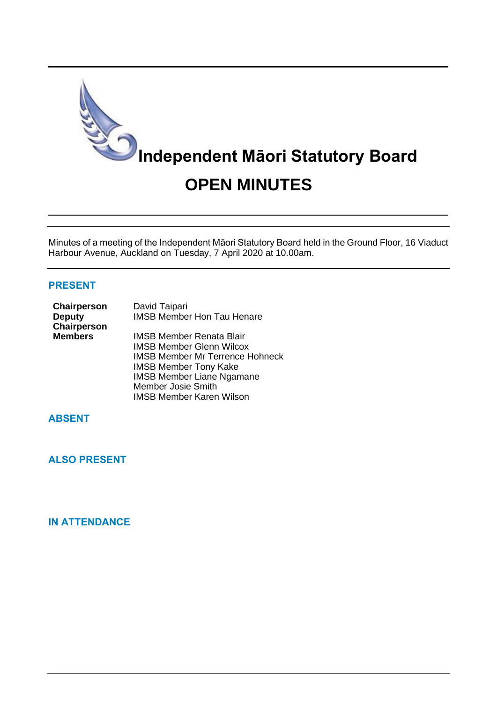

Minutes of a meeting of the Independent Māori Statutory Board held in the Ground Floor, 16 Viaduct Harbour Avenue, Auckland on Tuesday, 7 April 2020 at 10.00am.

#### **PRESENT**

| Chairperson<br><b>Deputy</b><br>Chairperson | David Taipari<br><b>IMSB Member Hon Tau Henare</b>                                                           |
|---------------------------------------------|--------------------------------------------------------------------------------------------------------------|
| <b>Members</b>                              | <b>IMSB Member Renata Blair</b><br><b>IMSB Member Glenn Wilcox</b><br><b>IMSB Member Mr Terrence Hohneck</b> |
|                                             | <b>IMSB Member Tony Kake</b><br><b>IMSB Member Liane Ngamane</b><br><b>Member Josie Smith</b>                |

IMSB Member Karen Wilson

# **ABSENT**

**ALSO PRESENT**

## **IN ATTENDANCE**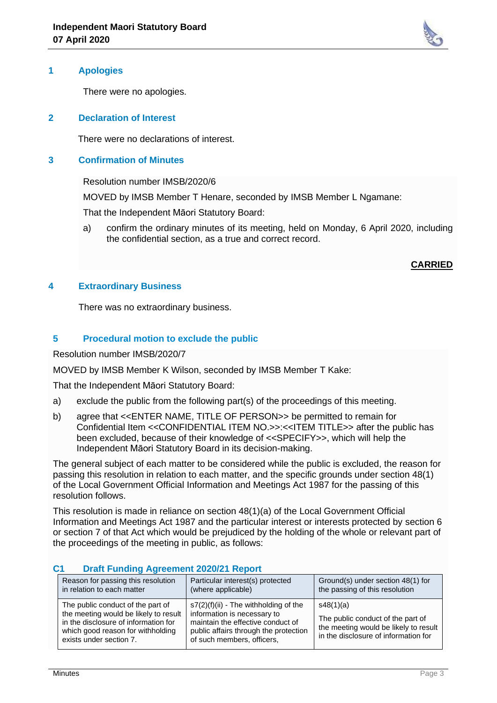

#### **1 Apologies**

There were no apologies.

#### **2 Declaration of Interest**

There were no declarations of interest.

#### **3 Confirmation of Minutes**

Resolution number IMSB/2020/6

MOVED by IMSB Member T Henare, seconded by IMSB Member L Ngamane:

That the Independent Māori Statutory Board:

a) confirm the ordinary minutes of its meeting, held on Monday, 6 April 2020, including the confidential section, as a true and correct record.

**CARRIED**

#### **4 Extraordinary Business**

There was no extraordinary business.

### **5 Procedural motion to exclude the public**

Resolution number IMSB/2020/7

MOVED by IMSB Member K Wilson, seconded by IMSB Member T Kake:

That the Independent Māori Statutory Board:

- a) exclude the public from the following part(s) of the proceedings of this meeting.
- b) agree that <<ENTER NAME, TITLE OF PERSON>> be permitted to remain for Confidential Item <<CONFIDENTIAL ITEM NO.>>:<<ITEM TITLE>> after the public has been excluded, because of their knowledge of <<SPECIFY>>, which will help the Independent Māori Statutory Board in its decision-making.

The general subject of each matter to be considered while the public is excluded, the reason for passing this resolution in relation to each matter, and the specific grounds under section 48(1) of the Local Government Official Information and Meetings Act 1987 for the passing of this resolution follows.

This resolution is made in reliance on section 48(1)(a) of the Local Government Official Information and Meetings Act 1987 and the particular interest or interests protected by section 6 or section 7 of that Act which would be prejudiced by the holding of the whole or relevant part of the proceedings of the meeting in public, as follows:

| Reason for passing this resolution<br>in relation to each matter                                                                                                                   | Particular interest(s) protected<br>(where applicable)                                                                                                                             | Ground(s) under section 48(1) for<br>the passing of this resolution                                                             |  |  |
|------------------------------------------------------------------------------------------------------------------------------------------------------------------------------------|------------------------------------------------------------------------------------------------------------------------------------------------------------------------------------|---------------------------------------------------------------------------------------------------------------------------------|--|--|
| The public conduct of the part of<br>the meeting would be likely to result<br>in the disclosure of information for<br>which good reason for withholding<br>exists under section 7. | $s7(2)(f)(ii)$ - The withholding of the<br>information is necessary to<br>maintain the effective conduct of<br>public affairs through the protection<br>of such members, officers, | s48(1)(a)<br>The public conduct of the part of<br>the meeting would be likely to result<br>in the disclosure of information for |  |  |

## **C1 Draft Funding Agreement 2020/21 Report**